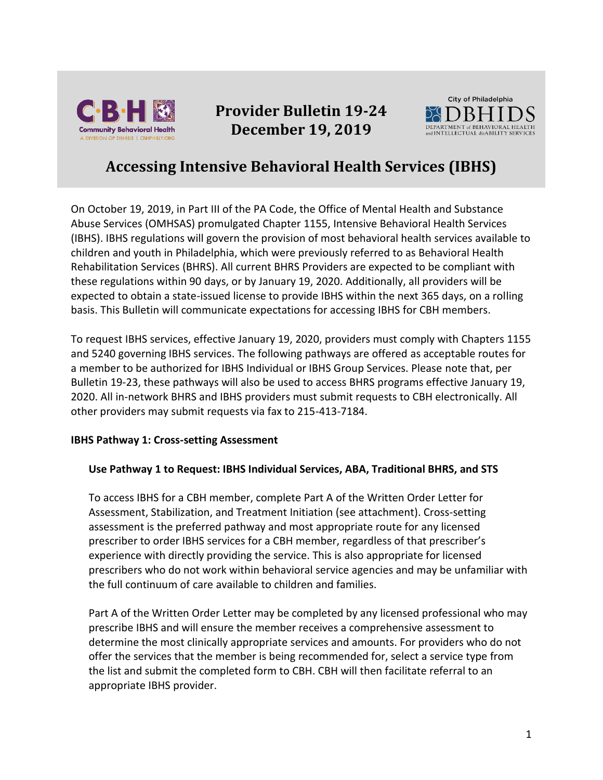

# **Provider Bulletin 19-24 December 19, 2019**



# **Accessing Intensive Behavioral Health Services (IBHS)**

On October 19, 2019, in Part III of the PA Code, the Office of Mental Health and Substance Abuse Services (OMHSAS) promulgated Chapter 1155, Intensive Behavioral Health Services (IBHS). IBHS regulations will govern the provision of most behavioral health services available to children and youth in Philadelphia, which were previously referred to as Behavioral Health Rehabilitation Services (BHRS). All current BHRS Providers are expected to be compliant with these regulations within 90 days, or by January 19, 2020. Additionally, all providers will be expected to obtain a state-issued license to provide IBHS within the next 365 days, on a rolling basis. This Bulletin will communicate expectations for accessing IBHS for CBH members.

To request IBHS services, effective January 19, 2020, providers must comply with Chapters 1155 and 5240 governing IBHS services. The following pathways are offered as acceptable routes for a member to be authorized for IBHS Individual or IBHS Group Services. Please note that, per Bulletin 19-23, these pathways will also be used to access BHRS programs effective January 19, 2020. All in-network BHRS and IBHS providers must submit requests to CBH electronically. All other providers may submit requests via fax to 215-413-7184.

## **IBHS Pathway 1: Cross-setting Assessment**

## **Use Pathway 1 to Request: IBHS Individual Services, ABA, Traditional BHRS, and STS**

To access IBHS for a CBH member, complete Part A of the Written Order Letter for Assessment, Stabilization, and Treatment Initiation (see attachment). Cross-setting assessment is the preferred pathway and most appropriate route for any licensed prescriber to order IBHS services for a CBH member, regardless of that prescriber's experience with directly providing the service. This is also appropriate for licensed prescribers who do not work within behavioral service agencies and may be unfamiliar with the full continuum of care available to children and families.

Part A of the Written Order Letter may be completed by any licensed professional who may prescribe IBHS and will ensure the member receives a comprehensive assessment to determine the most clinically appropriate services and amounts. For providers who do not offer the services that the member is being recommended for, select a service type from the list and submit the completed form to CBH. CBH will then facilitate referral to an appropriate IBHS provider.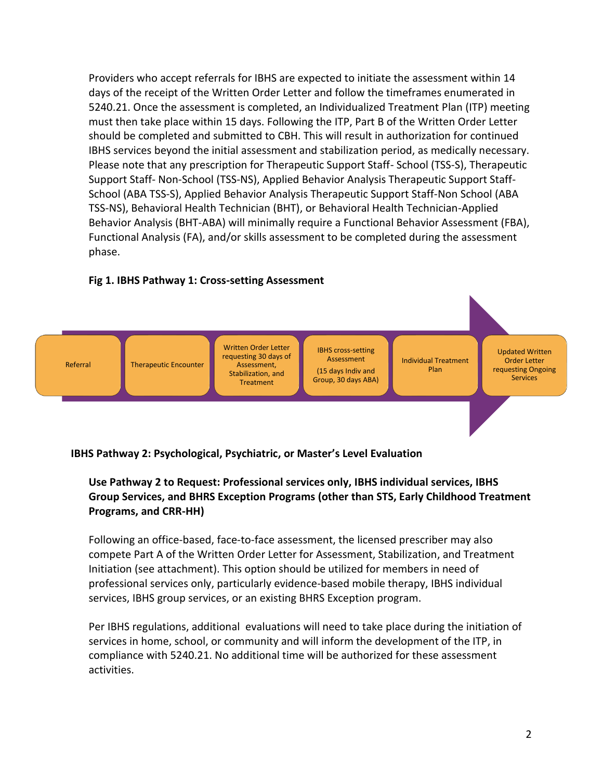Providers who accept referrals for IBHS are expected to initiate the assessment within 14 days of the receipt of the Written Order Letter and follow the timeframes enumerated in 5240.21. Once the assessment is completed, an Individualized Treatment Plan (ITP) meeting must then take place within 15 days. Following the ITP, Part B of the Written Order Letter should be completed and submitted to CBH. This will result in authorization for continued IBHS services beyond the initial assessment and stabilization period, as medically necessary. Please note that any prescription for Therapeutic Support Staff- School (TSS-S), Therapeutic Support Staff- Non-School (TSS-NS), Applied Behavior Analysis Therapeutic Support Staff-School (ABA TSS-S), Applied Behavior Analysis Therapeutic Support Staff-Non School (ABA TSS-NS), Behavioral Health Technician (BHT), or Behavioral Health Technician-Applied Behavior Analysis (BHT-ABA) will minimally require a Functional Behavior Assessment (FBA), Functional Analysis (FA), and/or skills assessment to be completed during the assessment phase.

# **Fig 1. IBHS Pathway 1: Cross-setting Assessment**



## **IBHS Pathway 2: Psychological, Psychiatric, or Master's Level Evaluation**

# **Use Pathway 2 to Request: Professional services only, IBHS individual services, IBHS Group Services, and BHRS Exception Programs (other than STS, Early Childhood Treatment Programs, and CRR-HH)**

Following an office-based, face-to-face assessment, the licensed prescriber may also compete Part A of the Written Order Letter for Assessment, Stabilization, and Treatment Initiation (see attachment). This option should be utilized for members in need of professional services only, particularly evidence-based mobile therapy, IBHS individual services, IBHS group services, or an existing BHRS Exception program.

Per IBHS regulations, additional evaluations will need to take place during the initiation of services in home, school, or community and will inform the development of the ITP, in compliance with 5240.21. No additional time will be authorized for these assessment activities.